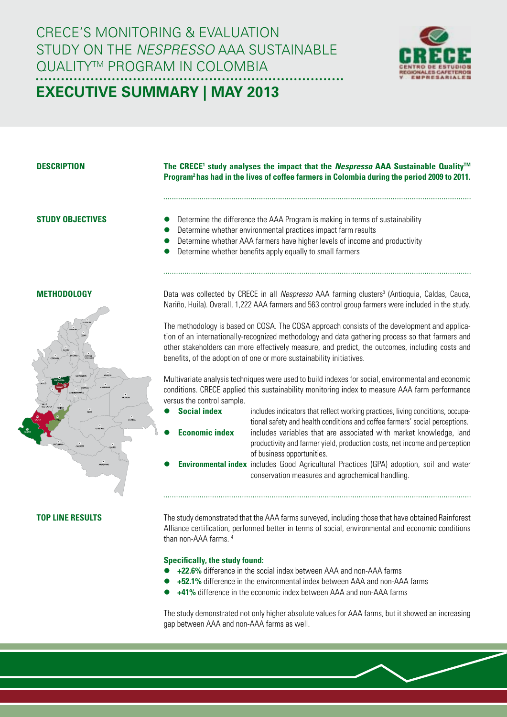CRECE'S MONITORING & EVALUATION Study on the *Nespresso* AAA Sustainable QUALITY™ PROGRAM IN COLOMBIA



# **Executive Summary | may 2013**

# **Description**

# **The CRECE<sup>1</sup> study analyses the impact that the** *Nespresso* **AAA Sustainable Quality™ Program2 has had in the lives of coffee farmers in Colombia during the period 2009 to 2011.**

# **Study objectives**

- Determine the difference the AAA Program is making in terms of sustainability
- Determine whether environmental practices impact farm results
- Determine whether AAA farmers have higher levels of income and productivity
- Determine whether benefits apply equally to small farmers

# **Methodology**



# **Top line results**

Data was collected by CRECE in all *Nespresso* AAA farming clusters<sup>3</sup> (Antioquia, Caldas, Cauca, Nariño, Huila). Overall, 1,222 AAA farmers and 563 control group farmers were included in the study.

The methodology is based on COSA. The COSA approach consists of the development and application of an internationally-recognized methodology and data gathering process so that farmers and other stakeholders can more effectively measure, and predict, the outcomes, including costs and benefits, of the adoption of one or more sustainability initiatives.

Multivariate analysis techniques were used to build indexes for social, environmental and economic conditions. CRECE applied this sustainability monitoring index to measure AAA farm performance versus the control sample.

- 
- 

**Social index** includes indicators that reflect working practices, living conditions, occupational safety and health conditions and coffee farmers' social perceptions. **Economic index** includes variables that are associated with market knowledge, land

- productivity and farmer yield, production costs, net income and perception of business opportunities.
- **Environmental index** includes Good Agricultural Practices (GPA) adoption, soil and water conservation measures and agrochemical handling.

The study demonstrated that the AAA farms surveyed, including those that have obtained Rainforest Alliance certification, performed better in terms of social, environmental and economic conditions than non-AAA farms. 4

### **Specifically, the study found:**

- **+22.6%** difference in the social index between AAA and non-AAA farms
- **+52.1%** difference in the environmental index between AAA and non-AAA farms
- **+41%** difference in the economic index between AAA and non-AAA farms

The study demonstrated not only higher absolute values for AAA farms, but it showed an increasing gap between AAA and non-AAA farms as well.